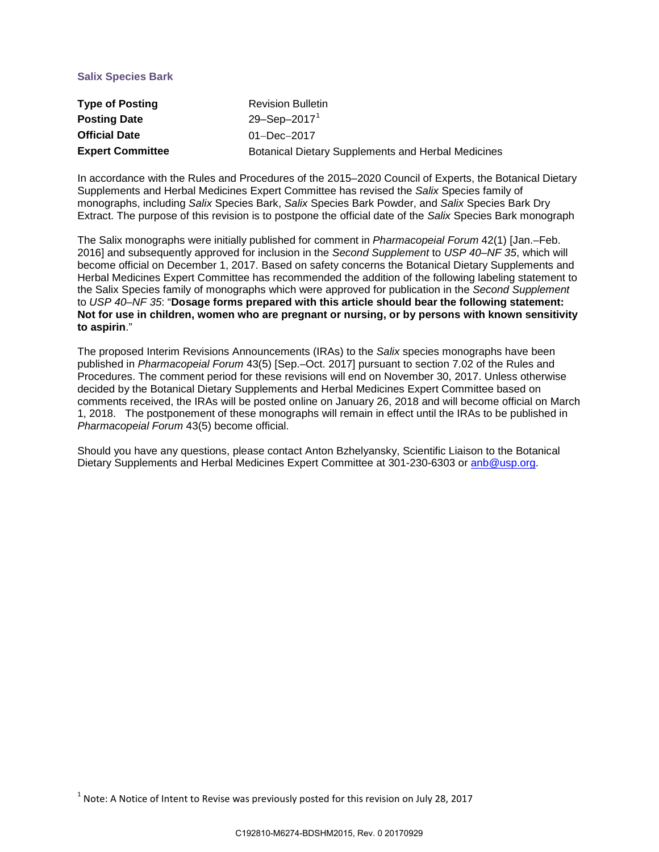# **Salix Species Bark**

| <b>Type of Posting</b>  | <b>Revision Bulletin</b>                                  |
|-------------------------|-----------------------------------------------------------|
| <b>Posting Date</b>     | 29-Sep-2017 <sup>1</sup>                                  |
| <b>Official Date</b>    | $01 - Dec - 2017$                                         |
| <b>Expert Committee</b> | <b>Botanical Dietary Supplements and Herbal Medicines</b> |

In accordance with the Rules and Procedures of the 2015–2020 Council of Experts, the Botanical Dietary Supplements and Herbal Medicines Expert Committee has revised the *Salix* Species family of monographs, including *Salix* Species Bark, *Salix* Species Bark Powder, and *Salix* Species Bark Dry Extract. The purpose of this revision is to postpone the official date of the *Salix* Species Bark monograph

The Salix monographs were initially published for comment in *Pharmacopeial Forum* 42(1) [Jan.–Feb. 2016] and subsequently approved for inclusion in the *Second Supplement* to *USP 40–NF 35*, which will become official on December 1, 2017. Based on safety concerns the Botanical Dietary Supplements and Herbal Medicines Expert Committee has recommended the addition of the following labeling statement to the Salix Species family of monographs which were approved for publication in the *Second Supplement* to *USP 40–NF 35*: "**Dosage forms prepared with this article should bear the following statement: Not for use in children, women who are pregnant or nursing, or by persons with known sensitivity to aspirin**."

The proposed Interim Revisions Announcements (IRAs) to the *Salix* species monographs have been published in *Pharmacopeial Forum* 43(5) [Sep.–Oct. 2017] pursuant to section 7.02 of the Rules and Procedures. The comment period for these revisions will end on November 30, 2017. Unless otherwise decided by the Botanical Dietary Supplements and Herbal Medicines Expert Committee based on comments received, the IRAs will be posted online on January 26, 2018 and will become official on March 1, 2018. The postponement of these monographs will remain in effect until the IRAs to be published in *Pharmacopeial Forum* 43(5) become official.

Should you have any questions, please contact Anton Bzhelyansky, Scientific Liaison to the Botanical Dietary Supplements and Herbal Medicines Expert Committee at 301-230-6303 or [anb@usp.org.](mailto:anb@usp.org)

<span id="page-0-0"></span> $1$  Note: A Notice of Intent to Revise was previously posted for this revision on July 28, 2017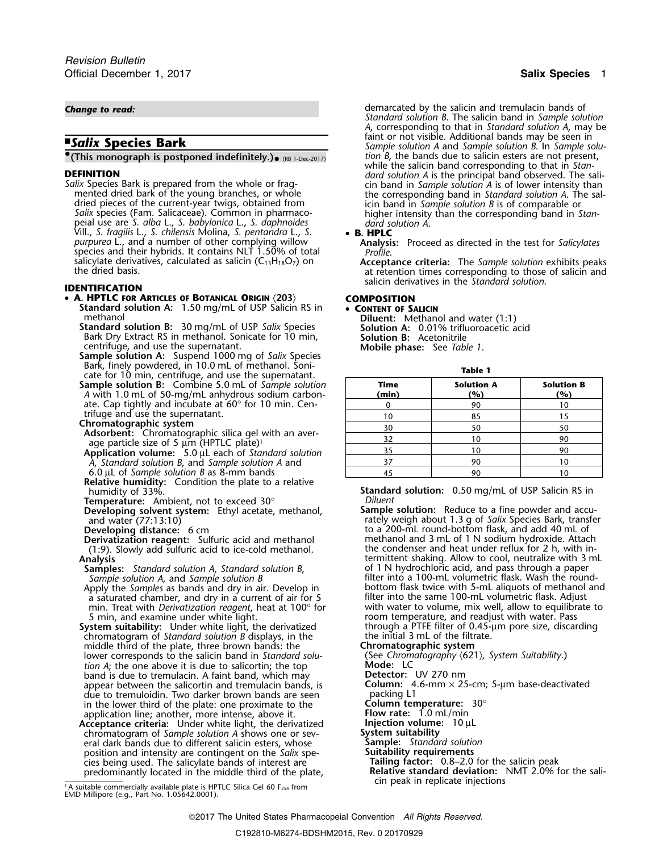### **(This monograph is postponed indefinitely.).**  $_{(RB 1\text{-}Dec-2017)}$  *tion B*, the bands due to salicin esters are not present,

Salix species (Fam. Salicaceae). Common in pharmaco-<br>peial use are S. alba L., S. babylonica L., S. daphnoides and dard solution A. peial use are *S. alba* L., *S. babylonica* L., *S. daphnoides dard solution A*. Vill., *S. fragilis* L., *S. chilensis* Molina, *S. pentandra* L., *S.* • **B. HPLC** *purpurea* L., and a number of other complying willow **Analysis:** Proceed as directed in the test for *Salicylates* species and their hybrids. It contains NLT 1.50% of total *Profile*. salicylate derivatives, calculated as salicin (C13H18O7) on **Acceptance criteria:** The *Sample solution* exhibits peaks the dried basis. at retention times corresponding to those of salicin and

## • **A. HPTLC FOR ARTICLES OF BOTANICAL ORIGIN** 〈**203**〉 **COMPOSITION**

- **Standard solution A:** 1.50 mg/mL of USP Salicin RS in **CONTENT OF SALICIN**<br>methanol **Diluent:** Methanol and water (1:1)
- **Standard solution B:** 30 mg/mL of USP *Salix* Species **Solution A:** 0.01% trifluoroacetic acid Bark Dry Extract RS in methanol. Sonicate for 10 min, **Solution B:** Acetonitrile Bark Dry Extract RS in methanol. Sonicate for 10 min, centrifuge, and use the supernatant.
- centrifuge, and use the supernatant. **Mobile phase:** See *Table 1*. **Sample solution A:** Suspend 1000 mg of *Salix* Species Bark, finely powdered, in 10.0 mL of methanol. Soni- **Table 1** cate for 10 min, centrifuge, and use the supernatant.
- **Sample solution B:** Combine 5.0 mL of *Sample solution* **Time Solution A Solution B** *A* with 1.0 mL of 50-mg/mL anhydrous sodium carbon- **(min) (%) (%)** ate. Cap tightly and incubate at  $60^\circ$  for 10 min. Centrifuge and use the supernatant.<br>Chromatographic system
- 
- 
- **Application volume:** 5.0 µL each of *Standard solution*  $\frac{35}{2}$  10 10  $\frac{10}{2}$  90 *A*, *Standard solution B*, and *Sample solution A* and
- $6.0 \mu L$  of *Sample solution B* as 8-mm bands
- **Relative humidity:** Condition the plate to a relative
- 
- **Developing solvent system:** Ethyl acetate, methanol, and water (77:13:10)
- 
- (1:9). Slowly add sulfuric acid to ice-cold methanol.<br>**Analysis**
- 
- Apply the *Samples* as bands and dry in air. Develop in bottom flask twice with 5-mL aliquots of methanol a saturated chamber, and dry in a current of air for 5 a saturated chamber, and dry in a current of air for 5 min. Treat with *Derivatization reggent*, heat at 100 $^{\circ}$  for
- **System suitability:** Under white light, the derivatized through a PTFE filter of 0.45-<br>chromatogram of *Standard solution B* displays, in the the initial 3 mL of the filtrate. chromatogram of *Standard solution B* displays, in the the initial 3 mL of the filtration *B* displays, in the the initial 3 mL of the filtration *B* displays, in the the initial 3 mL of the filtration **Chromatographic sys** middle third of the plate, three brown bands: the **Chromatographic system**<br>lower corresponds to the salicin band in *Standard solu* (See *Chromatography (621), System Suitability*.) lower corresponds to the salicin band in *Standard solu-* (See *Chrom*<br> *tion A*: the one above it is due to salicortin: the top **Mode:** LC *tion A*; the one above it is due to salicortin; the top **Mode:** LC band is due to tremulacin. A faint band, which may **Detector:** UV 270 nm band is due to tremulacin. A faint band, which may **Detector:** UV 270 nm appear between the salicortin and tremulacin bands, is **Column:** 4.6-mm **Column:** 4.6-mm **Column:** 5.5-cm; 5.5-mm **COLUMN:** 5.5-mm **COLUMN:** 5.5-mm **COLUMN:** 5.5-mm **COLUMN:** 5.5-mm **COLUMN:** 5.5-mm **COLUMN:** 5.5-mm **COLUM** due to tremuloidin. Two darker brown bands are seen  $\frac{1}{2}$  packing L1 in the lower third of the plate: one proximate to the **Column temperature**: 30° in the lower third of the plate: one proximate to the **Column temperature:**<br>application line; another, more intense, above it. **Flow rate:** 1.0 mL/min application line; another, more intense, above it. **Flow rate:** 1.0 mL/min<br>Acceptance criteria: Under white light, the derivatized **Fluit injection volume:** 10 µL **Acceptance criteria:** Under white light, the derivatized **Injection volume**<br>chromatogram of *Sample solution A* shows one or sev-<br>**10 ystem suitability** chromatogram of *Sample solution A* shows one or sev- **System suitability**
- eral dark bands due to different salicin esters, whose **Sample:** *Standard solution* position and intensity are contingent on the *Salix* spe-**Suitability requirements** position and intensity are contingent on the *Salix* spe-<br>
cies being used. The salicylate bands of interest are **Tailing factor:** 0.8–2.0 for the salicin peak cies being used. The salicylate bands of interest are predominantly located in the middle third of the plate,

cin peak in replicate injections <sup>1</sup> .A suitable commercially available plate is HPTLC Silica Gel 60 F254 from EMD Millipore (e.g., Part No. 1.05642.0001).

*Change to read:* demarcated by the salicin and tremulacin bands of *Standard solution B*. The salicin band in *Sample solution A*, corresponding to that in *Standard solution A*, may be **Falix Species Bark faint or not visible.** Additional bands may be seen in Sample solution A and Sample solution B In Sample solution *Sample solution A* and *Sample solution B*. In *Sample solution B*, the bands due to salicin esters are not present, while the salicin band corresponding to that in *Stan-* dard solution A is the principal band observed. The sali-**DEFINITION** *dard solution A* is the principal band observed. The sali-<br> *Salix* Species Bark is prepared from the whole or frag-<br>
mented dried bark of the young branches, or whole<br>
dried pieces of the current-year twigs,

salicin derivatives in the *Standard solution*. **IDENTIFICATION**

| cate for TV fillity centrifuge, and use the superflatant.      |       |                   |                   |
|----------------------------------------------------------------|-------|-------------------|-------------------|
| <b>Sample solution B:</b> Combine 5.0 mL of Sample solution    | Time  | <b>Solution A</b> | <b>Solution B</b> |
| A with 1.0 mL of 50-mg/mL anhydrous sodium carbon-             | (min) | (%)               | (%)               |
| ate. Cap tightly and incubate at $60^{\circ}$ for 10 min. Cen- |       | 90                |                   |
| trifuge and use the supernatant.<br>Chromatographic system     | 10    | 85                |                   |
|                                                                | 30    | 50                | 50                |
| Adsorbent: Chromatographic silica gel with an aver-            | 32    |                   | 90                |
| age particle size of 5 $\mu$ m (HPTLC plate) <sup>1</sup>      | 35    |                   | 90                |
| Application volume: 5.0 µL each of Standard solution           |       |                   |                   |
| A, Standard solution B, and Sample solution A and              |       | 90                |                   |
| 6.0 $\mu$ L of Sample solution B as 8-mm bands                 |       | 90                |                   |
|                                                                |       |                   |                   |

**Standard solution:** 0.50 mg/mL of USP Salicin RS in<br>Diluent

**Temperature:** Ambient, not to exceed 30° *Diluent* and water (77:13:10)<br>and water (77:13:10) rately weigh about 1.3 g of *Salix* Species Bark, transfer<br>beveloping distance: 6 cm<br>**Developing distance:** 6 cm to a 200-mL round-bottom flask, and add 40 mL of methanol and 3 mL of 1 N sodium hydroxide. Attach **Derivatization reagent:** Sulfuric acid and methanol methanol and 3 mL of 1 N sodium hydroxide. Attach (1:9). Slowly add sulfuric acid to ice-cold methanol. **the condenser and heat under reflux for 2** h, with in-Analysis<br> **Analysis** and and the shaking. Allow to cool, neutralize with 3 mL<br> **Samples:** Standard solution A, Standard solution B, and N hydrochloric acid, and pass through a paper **Samples:** *Standard solution A, Standard solution B*, of 1 N hydrochloric acid, and pass through a paper and paper<br>Sample solution A, and Sample solution B sample solution B filter into a 100-mL volumetric flask. Wash the round-<br>bottom flask twice with 5-mL aliquots of methanol and min. Treat with *Derivatization reagent*, heat at 100° for with water to volume, mix well, allow to equilibrate to<br>5 min, and examine under white light. examence in the moom temperature, and readjust with water. Pass room temperature, and readjust with water. Pass<br>through a PTFE filter of 0.45-µm pore size, discarding **Relative standard deviation:** NMT 2.0% for the sali-<br>cin peak in replicate injections